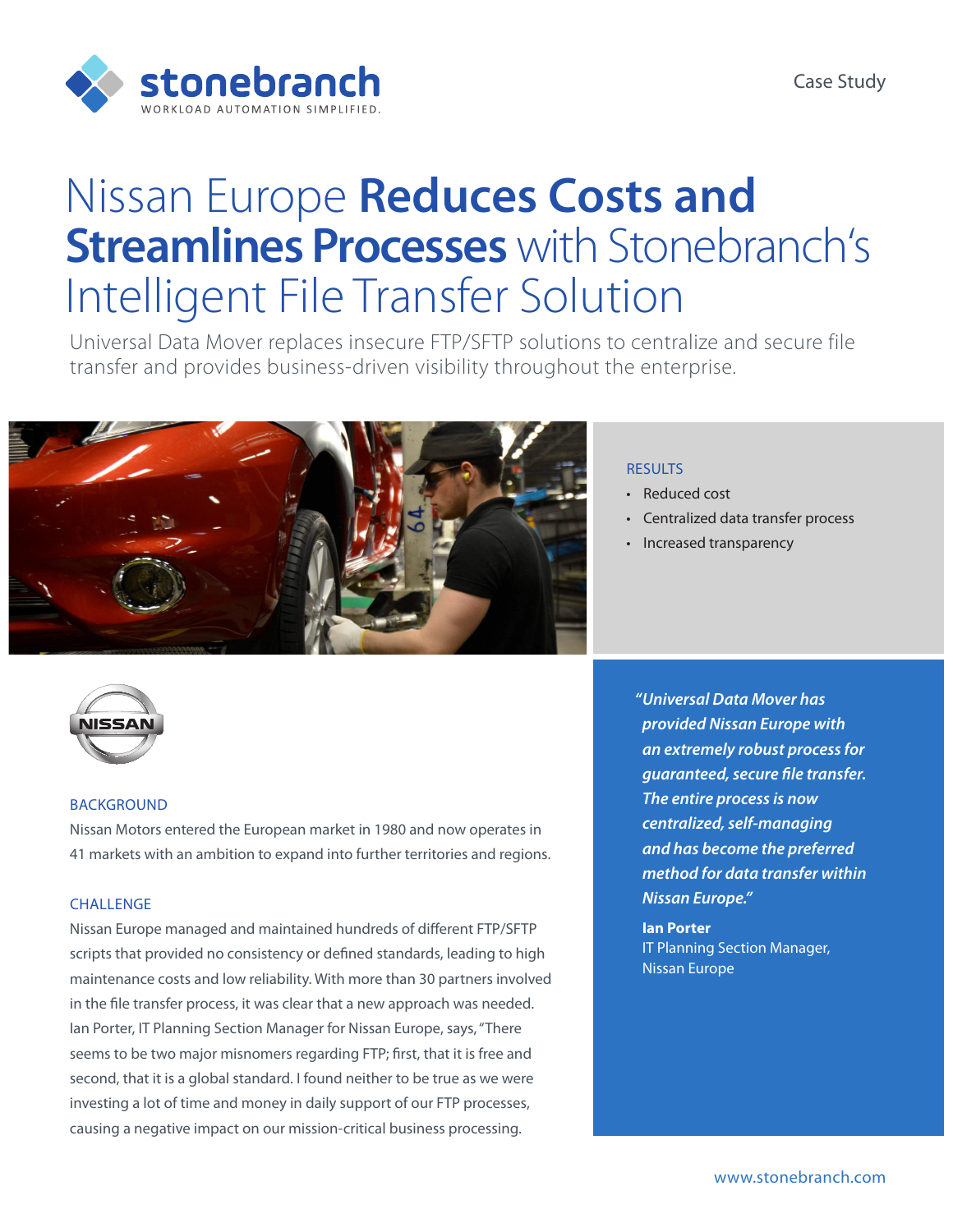

# Nissan Europe **Reduces Costs and Streamlines Processes** with Stonebranch's Intelligent File Transfer Solution

Universal Data Mover replaces insecure FTP/SFTP solutions to centralize and secure file transfer and provides business-driven visibility throughout the enterprise.





## **BACKGROUND**

Nissan Motors entered the European market in 1980 and now operates in 41 markets with an ambition to expand into further territories and regions.

## CHALLENGE

Nissan Europe managed and maintained hundreds of different FTP/SFTP scripts that provided no consistency or defined standards, leading to high maintenance costs and low reliability. With more than 30 partners involved in the file transfer process, it was clear that a new approach was needed. Ian Porter, IT Planning Section Manager for Nissan Europe, says, "There seems to be two major misnomers regarding FTP; first, that it is free and second, that it is a global standard. I found neither to be true as we were investing a lot of time and money in daily support of our FTP processes, causing a negative impact on our mission-critical business processing.

### **RESULTS**

- Reduced cost
- Centralized data transfer process
- Increased transparency

*"Universal Data Mover has provided Nissan Europe with an extremely robust process for guaranteed, secure file transfer. The entire process is now centralized, self-managing and has become the preferred method for data transfer within Nissan Europe."* 

**Ian Porter** IT Planning Section Manager, Nissan Europe